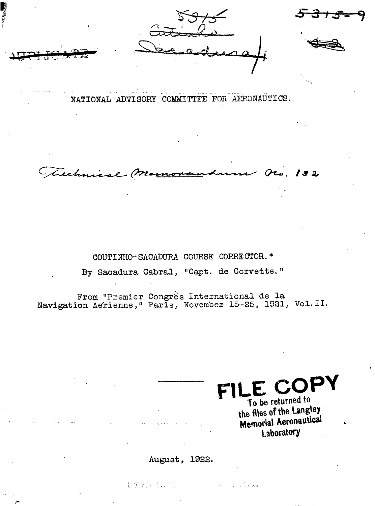$\bigoplus_{\alpha=1}^{\infty}$ 

NATIONAL ADVISORY COMMITTEE FOR AERONAUTICS.

**Cro. 132** Cechnic

COUTINHO-SACADURA COURSE CORRECTOR.\* By Sacadura Cabral, "Capt. de Corvette."

From "Premier Congrès International de la<br>Navigation Aérienne, "Paris, November 15-25, 1921, Vol. II.

LE COPY To be returned to the files of the Langley **Memorial Aeronautical** Laboratory

August, 1922.

本度的 人口的 しゅうしゅう おはない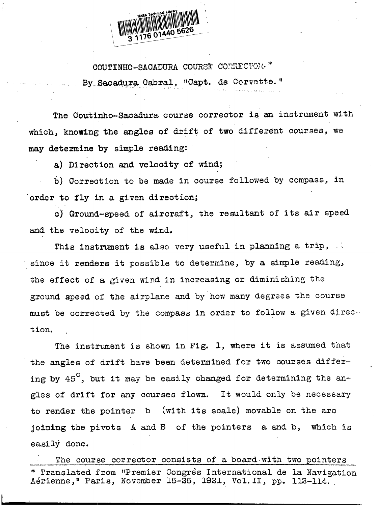

COUTINHO-SACADURA COURSE CONRECTOR " . By Sacadura Cabral, "Capt. de Corvette.' .... .. ..... 11 .

The Coutinho-Sacadura course corrector is an instrument with which, knowing the angles of drift of two different courses, we may determine by simple reading:

a) Direction and velocity of wind;

b) Correction to be made in course followed by compass, in order to fly in a given direction;

c) Ground-speed of aircraft, the resultant of its air speed and the velocity of the wind.

This instrument is also very useful in planning a trip, since it renders it possible to determine, by a simple reading, the effect of a given wind in increasing or diminishing the ground speed of the airplane and by how many degrees the course must be corrected by the compass in order to follow a given direction.

The instrument is shown in Fig, 1, where it is assumed that the angles of drift have been determined for two courses differing by  $45^{\circ}$ , but it may be easily changed for determining the angles of drift for any courses flovm. It would only be necessary to render the pointer b joining the pivots A and B of the pointers a and b, which is easily done. (with its scale) movable on the  $arc$ 

The course corrector consists of a board with two pointers Translated from "Premier Congrès International de la Navigation A6rienne," Paris, November 15-25, 1921, VOI.11, pp. 112–114..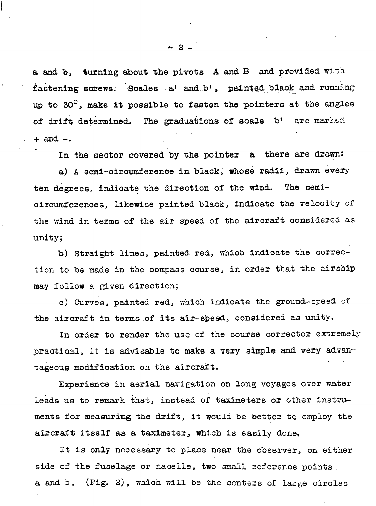a and b, turning about the pivots A and B and provided with fastening screws. Soales a' and b', painted black and running up to 30 $^\circ$ , make it possible to fasten the pointers at the angles . . of drift determined. The graduations of soale  $b^*$  are marked <sup>+</sup> and -.

In the sector covered by the pointer a there are drawn:

a) A semi-circumference in black, whose radii, drawn every ten degrees, indicate the direction of the wind. The semioircumferences, likewise painted black, indioate the VelOcitY of the wind in terms of the air speed of the aircraft considered as unity;

b) Straight lines, painted **red,** which indicate the correction to be made in the compass course, in 'order that the airship may follow a given direction;

c) Curves, painted red, which indicate the ground-speed of the aircraft in terms of its air-speed, considered as unity.

In order to render the use of the course corrector extremely practical, it is advisable to make a very simple and very advantageous modification on the aircraft. . .

Experience in aerial navigation on long voyages over water leads us to remark that, instead of taximeters or other instruments for measuring the drift, it would be better to employ the aircraft itself as a taximeter, which is easily done.

It is only necessary to place near the observer, on either side of the fuselage or nacelle, two small reference points. a and b,  $(Fig. 2)$ , which will be the centers of large circles

.

J-2-

.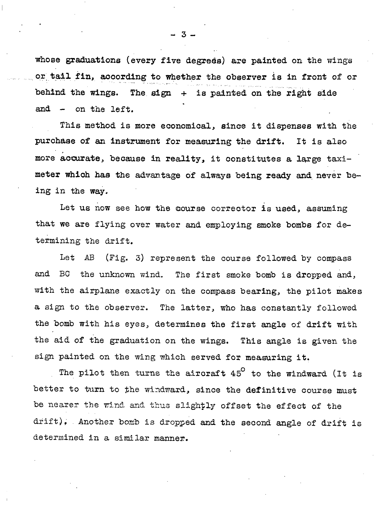whose graduations (every five degrees) are painted on the wings .. . . . o,~,t,ailfin, according to whether the observer is in front of or . .,,,,,.,,,.,.,.,. .—,.,. behind the wings. The sign  $+$  is painted on the right side . and - on the left.

This method is more economical, since it dispenses with the purchase of an instrument for measuring the &rift. more accurate, because in reality, it constitutes a large taximeter which has the advantage of always being ready and never being in the way, It is also

Let us now see how the course corrector is used, assuming that we are flying over water and employing smoke bombs for determining the drift.

Let AB (Fig, 3) represent the course followed by compass and BC the unknown wind. The first smoke bomb is dropped and, with the airplane exactly on the compass bearing, the pilot makes a sign to the observer. The latter, who has constantly followed the bomb with his eyes, determines the first angle of drift with the aid of the graduation on the wings. This angle is given the sign painted on the wing which served for measuring it.

The pilot then turns the aircraft  $45^{\circ}$  to the windward (It is better to turn to the windward, since the definitive course must be nearer the wind and thus slightly offset the effect of the drift), Another bomb is dropped and the second angle of drift is determined in a similar manner.

~3-

.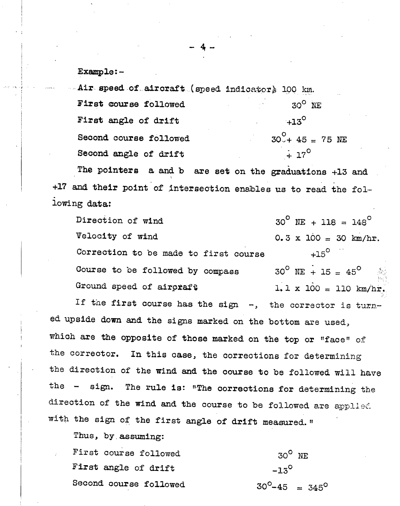Example:-

 $\mathbf{1}$ 

I

Air speed of aircraft (speed indicator) 100 km. First course followed  $1000 \text{ N}$ First angle of drift  $+13^{\circ}$ Second course followed  $30^\circ + 45 = 75$  NE Second angle of drift  $\frac{1}{2}$  17<sup>°</sup>

The pointers a and b are set on the graduations +13 and +17 and their point of intersection enables us to read the following data:

Direction of wind  $30^{\circ}$  NE + 118 =  $148^{\circ}$ Velocity of wind  $0.3 \times 100 = 30$  km/hr. Correction to be made to first course  $+15^{\circ}$ Course to be followed by compass  $30^\circ$  NE + 15 = 45<sup>°</sup> 1,, L.. ,. Ground speed of aircraft  $1.1 \times 100 = 110 \text{ km/hr}$ .

If the first course has the sign -, the corrector is turned upside down and the signs marked on the bottom are used, which are the opposite of those marked on the top or "face" of the corrector. In this case, the corrections for determining the direction of the wind and the course to be followed will have the - sign. The rule is: "The corrections for determining the direction of the wind and the course to be followed are applied with the sign of the first angle of drift measured. "

Thus, by assuming:

First course followed 30<sup>°</sup> NE First angle of drift  $-13^{\circ}$ Second course followed  $30^0-45 = 345^0$ 

- 4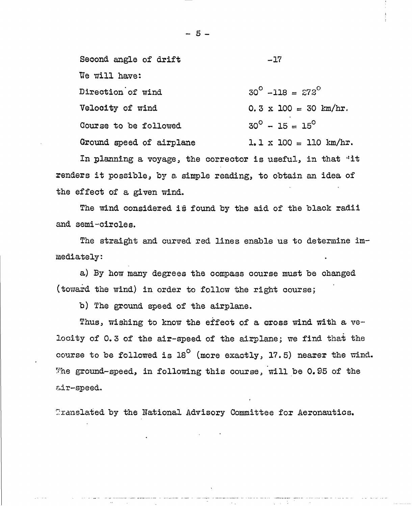| Second angle of drift    | $-17$                                 |
|--------------------------|---------------------------------------|
| We will have:            |                                       |
| Direction of wind        | $30^{\circ}$ -118 = $273^{\circ}$     |
| Velocity of wind         | $0.3 \times 100 = 30$ km/hr.          |
| Course to be followed    | $30^{\circ} - 15 = 15^{\circ}$        |
| Ground speed of airplane | $1.1 \times 100 = 110 \text{ km/hr.}$ |

In planning a voyage, the corrector is useful, in that "it renders it possible, by a simple reading, to obtain an idea of the effect of a given wind.

The wind considered is found by the aid of the black radii and semi-circles.

The straight and curved red lines enable us to determine immediately:

a) By how many degrees the compass course must be changed (toward the wind) in order to follow the right course;

b) The ground speed of the airplane.

Thus, wishing to know the effect of a cross wind with a velocity of 0.3 of the air-speed of the airplane; we find that the course to be followed is  $18^{\circ}$  (more exactly, 17.5) nearer the wind. The ground-speed, in following this course, will be 0.95 of the air-speed.

Translated by the National Advisory Committee for Aeronautics.

5 -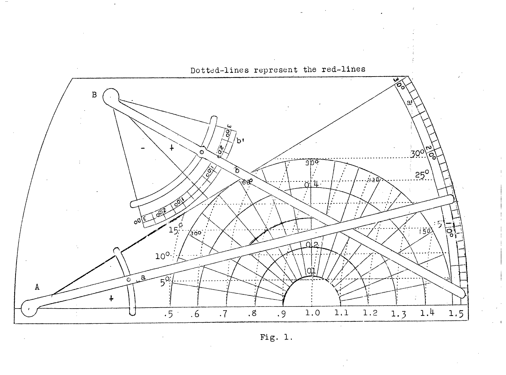